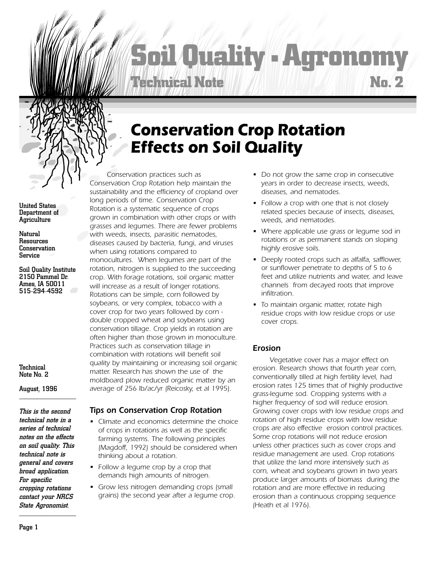# **Soil Quality** ■ **Agronomy No. 2 Technical Note**

# *Conservation Crop Rotation Effects on Soil Quality*

*Conservation practices such as Conservation Crop Rotation help maintain the sustainability and the efficiency of cropland over long periods of time. Conservation Crop Rotation is a systematic sequence of crops grown in combination with other crops or with grasses and legumes. There are fewer problems with weeds, insects, parasitic nematodes, diseases caused by bacteria, fungi, and viruses when using rotations compared to monocultures. When legumes are part of the rotation, nitrogen is supplied to the succeeding crop. With forage rotations, soil organic matter will increase as a result of longer rotations. Rotations can be simple, corn followed by soybeans, or very complex, tobacco with a cover crop for two years followed by corn double cropped wheat and soybeans using conservation tillage. Crop yields in rotation are often higher than those grown in monoculture. Practices such as conservation tillage in combination with rotations will benefit soil quality by maintaining or increasing soil organic matter. Research has shown the use of the moldboard plow reduced organic matter by an average of 256 lb/ac/yr (Reicosky, et al 1995).*

### *Tips on Conservation Crop Rotation*

- *Climate and economics determine the choice of crops in rotations as well as the specific farming systems. The following principles (Magdoff, 1992) should be considered when thinking about a rotation.*
- *Follow a legume crop by a crop that demands high amounts of nitrogen.*
- *Grow less nitrogen demanding crops (small grains) the second year after a legume crop.*
- *Do not grow the same crop in consecutive years in order to decrease insects, weeds, diseases, and nematodes.*
- *Follow a crop with one that is not closely related species because of insects, diseases, weeds, and nematodes.*
- *Where applicable use grass or legume sod in rotations or as permanent stands on sloping highly erosive soils.*
- *Deeply rooted crops such as alfalfa, safflower, or sunflower penetrate to depths of 5 to 6 feet and utilize nutrients and water, and leave channels from decayed roots that improve infiltration.*
- *To maintain organic matter, rotate high residue crops with low residue crops or use cover crops.*

## *Erosion*

*Vegetative cover has a major effect on erosion. Research shows that fourth year corn, conventionally tilled at high fertility level, had erosion rates 125 times that of highly productive grass-legume sod. Cropping systems with a higher frequency of sod will reduce erosion. Growing cover crops with low residue crops and rotation of high residue crops with low residue crops are also effective erosion control practices. Some crop rotations will not reduce erosion unless other practices such as cover crops and residue management are used. Crop rotations that utilize the land more intensively such as corn, wheat and soybeans grown in two years produce larger amounts of biomass during the rotation and are more effective in reducing erosion than a continuous cropping sequence (Heath et al 1976).*

United States Department of **Agriculture** 

Natural Resources Conservation Service

Soil Quality Institute 2150 Pammel Dr. Ames, IA 50011 515-294-4592

Technical Note No. 2

August, 1996 \_\_\_\_\_\_\_\_\_\_\_\_\_\_\_\_

*This is the second technical note in a series of technical notes on the effects on soil quality. This technical note is general and covers broad application. For specific cropping rotations contact your NRCS State Agronomist.*  $\overline{\phantom{a}}$  , which is the set of the set of the set of the set of the set of the set of the set of the set of the set of the set of the set of the set of the set of the set of the set of the set of the set of the set of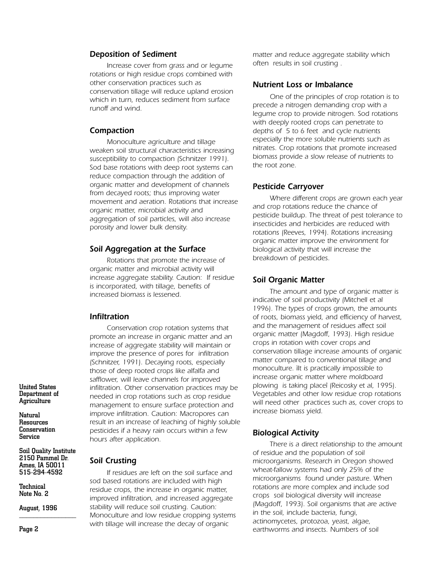#### *Deposition of Sediment*

*Increase cover from grass and or legume rotations or high residue crops combined with other conservation practices such as conservation tillage will reduce upland erosion which in turn, reduces sediment from surface runoff and wind.*

#### *Compaction*

*Monoculture agriculture and tillage weaken soil structural characteristics increasing susceptibility to compaction (Schnitzer 1991). Sod base rotations with deep root systems can reduce compaction through the addition of organic matter and development of channels from decayed roots; thus improving water movement and aeration. Rotations that increase organic matter, microbial activity and aggregation of soil particles, will also increase porosity and lower bulk density.*

#### *Soil Aggregation at the Surface*

*Rotations that promote the increase of organic matter and microbial activity will increase aggregate stability. Caution: If residue is incorporated, with tillage, benefits of increased biomass is lessened.*

#### *Infiltration*

*Soil Crusting*

*Conservation crop rotation systems that promote an increase in organic matter and an increase of aggregate stability will maintain or improve the presence of pores for infiltration (Schnitzer, 1991). Decaying roots, especially those of deep rooted crops like alfalfa and safflower, will leave channels for improved infiltration. Other conservation practices may be needed in crop rotations such as crop residue management to ensure surface protection and improve infiltration. Caution: Macropores can result in an increase of leaching of highly soluble pesticides if a heavy rain occurs within a few hours after application.*

*If residues are left on the soil surface and*

*sod based rotations are included with high residue crops, the increase in organic matter, improved infiltration, and increased aggregate stability will reduce soil crusting. Caution: Monoculture and low residue cropping systems with tillage will increase the decay of organic*

Soil Quality Institute 2150 Pammel Dr. Ames, IA 50011 515-294-4592

**Technical** Note No. 2

United States Department of **Agriculture** 

**Natural** Resources **Conservation** Service

August, 1996

*matter and reduce aggregate stability which often results in soil crusting .*

#### *Nutrient Loss or Imbalance*

*One of the principles of crop rotation is to precede a nitrogen demanding crop with a legume crop to provide nitrogen. Sod rotations with deeply rooted crops can penetrate to depths of 5 to 6 feet and cycle nutrients especially the more soluble nutrients such as nitrates. Crop rotations that promote increased biomass provide a slow release of nutrients to the root zone.*

#### *Pesticide Carryover*

*Where different crops are grown each year and crop rotations reduce the chance of pesticide buildup. The threat of pest tolerance to insecticides and herbicides are reduced with rotations (Reeves, 1994). Rotations increasing organic matter improve the environment for biological activity that will increase the breakdown of pesticides.*

#### *Soil Organic Matter*

*The amount and type of organic matter is indicative of soil productivity (Mitchell et al 1996). The types of crops grown, the amounts of roots, biomass yield, and efficiency of harvest, and the management of residues affect soil organic matter (Magdoff, 1993). High residue crops in rotation with cover crops and conservation tillage increase amounts of organic matter compared to conventional tillage and monoculture. ìIt is practically impossible to increase organic matter where moldboard plowing is taking placeî (Reicosky et al, 1995). Vegetables and other low residue crop rotations will need other practices such as, cover crops to increase biomass yield.*

#### *Biological Activity*

*There is a direct relationship to the amount of residue and the population of soil microorganisms. Research in Oregon showed wheat-fallow systems had only 25% of the microorganisms found under pasture. When rotations are more complex and include sod crops soil biological diversity will increase (Magdoff, 1993). Soil organisms that are active in the soil, include bacteria, fungi, actinomycetes, protozoa, yeast, algae, earthworms and insects. Numbers of soil*

\_\_\_\_\_\_\_\_\_\_\_\_\_\_\_\_ Page 2